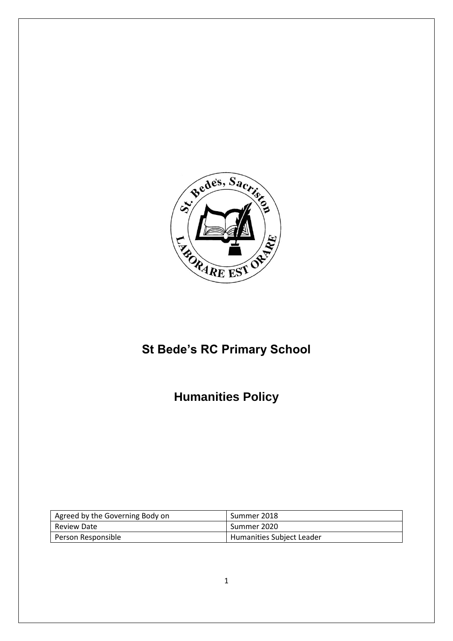

# **St Bede's RC Primary School**

# **Humanities Policy**

| Agreed by the Governing Body on | Summer 2018               |
|---------------------------------|---------------------------|
| Review Date                     | Summer 2020               |
| Person Responsible              | Humanities Subject Leader |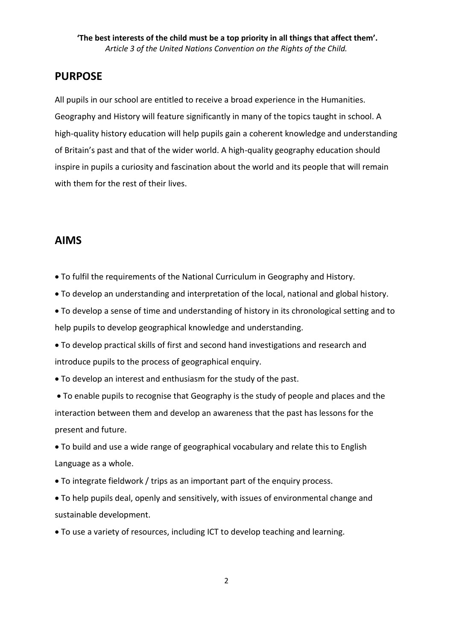# **PURPOSE**

All pupils in our school are entitled to receive a broad experience in the Humanities. Geography and History will feature significantly in many of the topics taught in school. A high-quality history education will help pupils gain a coherent knowledge and understanding of Britain's past and that of the wider world. A high-quality geography education should inspire in pupils a curiosity and fascination about the world and its people that will remain with them for the rest of their lives.

# **AIMS**

To fulfil the requirements of the National Curriculum in Geography and History.

To develop an understanding and interpretation of the local, national and global history.

 To develop a sense of time and understanding of history in its chronological setting and to help pupils to develop geographical knowledge and understanding.

 To develop practical skills of first and second hand investigations and research and introduce pupils to the process of geographical enquiry.

To develop an interest and enthusiasm for the study of the past.

 To enable pupils to recognise that Geography is the study of people and places and the interaction between them and develop an awareness that the past has lessons for the present and future.

 To build and use a wide range of geographical vocabulary and relate this to English Language as a whole.

To integrate fieldwork / trips as an important part of the enquiry process.

 To help pupils deal, openly and sensitively, with issues of environmental change and sustainable development.

To use a variety of resources, including ICT to develop teaching and learning.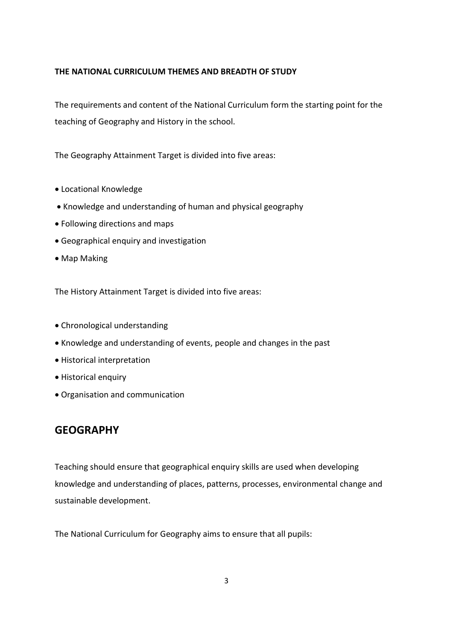#### **THE NATIONAL CURRICULUM THEMES AND BREADTH OF STUDY**

The requirements and content of the National Curriculum form the starting point for the teaching of Geography and History in the school.

The Geography Attainment Target is divided into five areas:

- Locational Knowledge
- Knowledge and understanding of human and physical geography
- Following directions and maps
- Geographical enquiry and investigation
- Map Making

The History Attainment Target is divided into five areas:

- Chronological understanding
- Knowledge and understanding of events, people and changes in the past
- Historical interpretation
- Historical enquiry
- Organisation and communication

# **GEOGRAPHY**

Teaching should ensure that geographical enquiry skills are used when developing knowledge and understanding of places, patterns, processes, environmental change and sustainable development.

The National Curriculum for Geography aims to ensure that all pupils: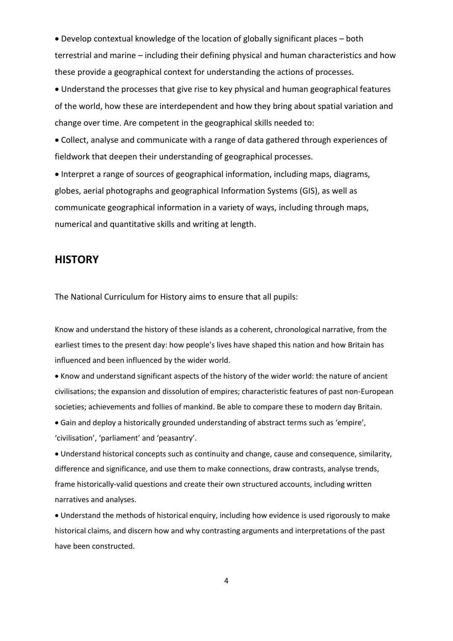Develop contextual knowledge of the location of globally significant places – both terrestrial and marine – including their defining physical and human characteristics and how these provide a geographical context for understanding the actions of processes.

 Understand the processes that give rise to key physical and human geographical features of the world, how these are interdependent and how they bring about spatial variation and change over time. Are competent in the geographical skills needed to:

 Collect, analyse and communicate with a range of data gathered through experiences of fieldwork that deepen their understanding of geographical processes.

 Interpret a range of sources of geographical information, including maps, diagrams, globes, aerial photographs and geographical Information Systems (GIS), as well as communicate geographical information in a variety of ways, including through maps, numerical and quantitative skills and writing at length.

### **HISTORY**

The National Curriculum for History aims to ensure that all pupils:

Know and understand the history of these islands as a coherent, chronological narrative, from the earliest times to the present day: how people's lives have shaped this nation and how Britain has influenced and been influenced by the wider world.

 Know and understand significant aspects of the history of the wider world: the nature of ancient civilisations; the expansion and dissolution of empires; characteristic features of past non-European societies; achievements and follies of mankind. Be able to compare these to modern day Britain.

 Gain and deploy a historically grounded understanding of abstract terms such as 'empire', 'civilisation', 'parliament' and 'peasantry'.

 Understand historical concepts such as continuity and change, cause and consequence, similarity, difference and significance, and use them to make connections, draw contrasts, analyse trends, frame historically-valid questions and create their own structured accounts, including written narratives and analyses.

 Understand the methods of historical enquiry, including how evidence is used rigorously to make historical claims, and discern how and why contrasting arguments and interpretations of the past have been constructed.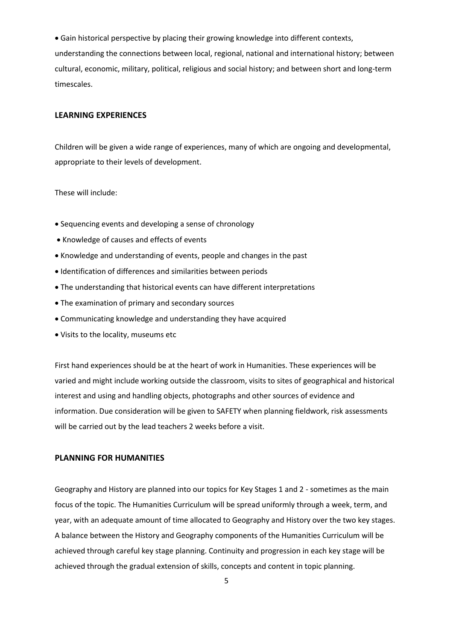Gain historical perspective by placing their growing knowledge into different contexts, understanding the connections between local, regional, national and international history; between cultural, economic, military, political, religious and social history; and between short and long-term timescales.

#### **LEARNING EXPERIENCES**

Children will be given a wide range of experiences, many of which are ongoing and developmental, appropriate to their levels of development.

These will include:

- Sequencing events and developing a sense of chronology
- Knowledge of causes and effects of events
- Knowledge and understanding of events, people and changes in the past
- Identification of differences and similarities between periods
- The understanding that historical events can have different interpretations
- The examination of primary and secondary sources
- Communicating knowledge and understanding they have acquired
- Visits to the locality, museums etc

First hand experiences should be at the heart of work in Humanities. These experiences will be varied and might include working outside the classroom, visits to sites of geographical and historical interest and using and handling objects, photographs and other sources of evidence and information. Due consideration will be given to SAFETY when planning fieldwork, risk assessments will be carried out by the lead teachers 2 weeks before a visit.

#### **PLANNING FOR HUMANITIES**

Geography and History are planned into our topics for Key Stages 1 and 2 - sometimes as the main focus of the topic. The Humanities Curriculum will be spread uniformly through a week, term, and year, with an adequate amount of time allocated to Geography and History over the two key stages. A balance between the History and Geography components of the Humanities Curriculum will be achieved through careful key stage planning. Continuity and progression in each key stage will be achieved through the gradual extension of skills, concepts and content in topic planning.